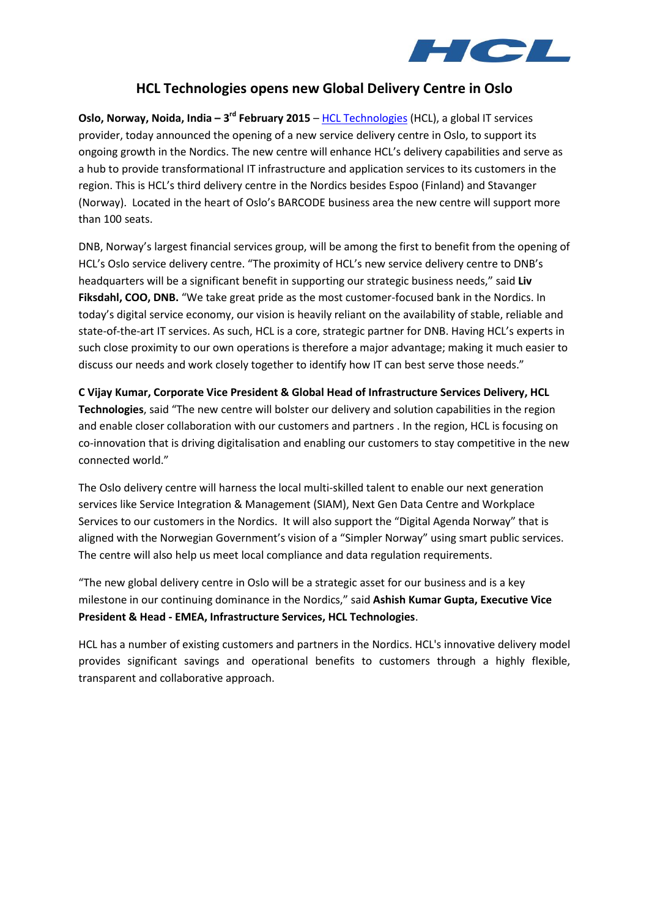

## **HCL Technologies opens new Global Delivery Centre in Oslo**

**Oslo, Norway, Noida, India – 3<sup>rd</sup> February 2015** – [HCL Technologies](http://www.hcltech.com/) (HCL), a global IT services provider, today announced the opening of a new service delivery centre in Oslo, to support its ongoing growth in the Nordics. The new centre will enhance HCL's delivery capabilities and serve as a hub to provide transformational IT infrastructure and application services to its customers in the region. This is HCL's third delivery centre in the Nordics besides Espoo (Finland) and Stavanger (Norway). Located in the heart of Oslo's BARCODE business area the new centre will support more than 100 seats.

DNB, Norway's largest financial services group, will be among the first to benefit from the opening of HCL's Oslo service delivery centre. "The proximity of HCL's new service delivery centre to DNB's headquarters will be a significant benefit in supporting our strategic business needs," said **Liv Fiksdahl, COO, DNB.** "We take great pride as the most customer-focused bank in the Nordics. In today's digital service economy, our vision is heavily reliant on the availability of stable, reliable and state-of-the-art IT services. As such, HCL is a core, strategic partner for DNB. Having HCL's experts in such close proximity to our own operations is therefore a major advantage; making it much easier to discuss our needs and work closely together to identify how IT can best serve those needs."

**C Vijay Kumar, Corporate Vice President & Global Head of Infrastructure Services Delivery, HCL Technologies**, said "The new centre will bolster our delivery and solution capabilities in the region and enable closer collaboration with our customers and partners . In the region, HCL is focusing on co-innovation that is driving digitalisation and enabling our customers to stay competitive in the new connected world."

The Oslo delivery centre will harness the local multi-skilled talent to enable our next generation services like Service Integration & Management (SIAM), Next Gen Data Centre and Workplace Services to our customers in the Nordics. It will also support the "Digital Agenda Norway" that is aligned with the Norwegian Government's vision of a "Simpler Norway" using smart public services. The centre will also help us meet local compliance and data regulation requirements.

"The new global delivery centre in Oslo will be a strategic asset for our business and is a key milestone in our continuing dominance in the Nordics," said **Ashish Kumar Gupta, Executive Vice President & Head - EMEA, Infrastructure Services, HCL Technologies**.

HCL has a number of existing customers and partners in the Nordics. HCL's innovative delivery model provides significant savings and operational benefits to customers through a highly flexible, transparent and collaborative approach.